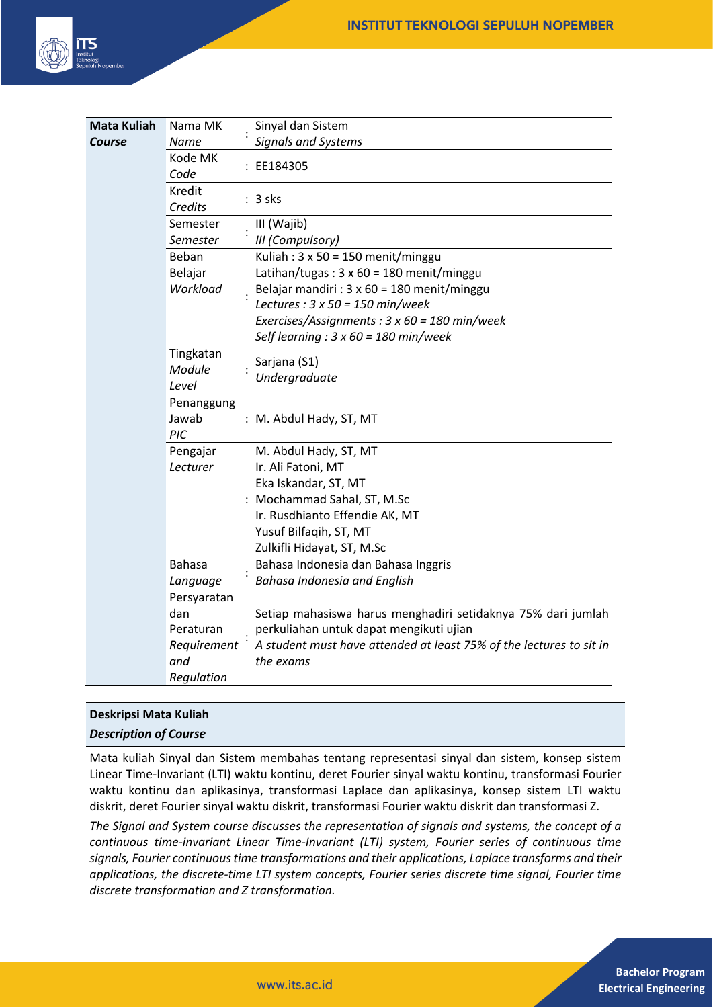

| <b>Mata Kuliah</b> | Nama MK                 |  | Sinyal dan Sistem                                                   |
|--------------------|-------------------------|--|---------------------------------------------------------------------|
| Course             | Name                    |  | <b>Signals and Systems</b>                                          |
|                    | Kode MK<br>Code         |  | : EE184305                                                          |
|                    | Kredit<br>Credits       |  | $: 3$ sks                                                           |
|                    | Semester                |  | III (Wajib)                                                         |
|                    | Semester                |  | III (Compulsory)                                                    |
|                    | Beban                   |  | Kuliah: $3 \times 50 = 150$ menit/minggu                            |
|                    | Belajar                 |  | Latihan/tugas: $3 \times 60 = 180$ menit/minggu                     |
|                    | Workload                |  | Belajar mandiri : 3 x 60 = 180 menit/minggu                         |
|                    |                         |  | Lectures : $3 \times 50 = 150$ min/week                             |
|                    |                         |  | Exercises/Assignments: 3 x 60 = 180 min/week                        |
|                    |                         |  | Self learning : $3 \times 60 = 180$ min/week                        |
|                    | Tingkatan<br>Module     |  | Sarjana (S1)                                                        |
|                    |                         |  | Undergraduate                                                       |
|                    | Level                   |  |                                                                     |
|                    | Penanggung              |  |                                                                     |
|                    | Jawab                   |  | : M. Abdul Hady, ST, MT                                             |
|                    | PIC                     |  |                                                                     |
|                    | Pengajar                |  | M. Abdul Hady, ST, MT                                               |
|                    | Lecturer                |  | Ir. Ali Fatoni, MT                                                  |
|                    |                         |  | Eka Iskandar, ST, MT                                                |
|                    |                         |  | : Mochammad Sahal, ST, M.Sc                                         |
|                    |                         |  | Ir. Rusdhianto Effendie AK, MT                                      |
|                    |                         |  | Yusuf Bilfaqih, ST, MT                                              |
|                    | <b>Bahasa</b>           |  | Zulkifli Hidayat, ST, M.Sc                                          |
|                    |                         |  | Bahasa Indonesia dan Bahasa Inggris<br>Bahasa Indonesia and English |
|                    | Language<br>Persyaratan |  |                                                                     |
|                    | dan                     |  | Setiap mahasiswa harus menghadiri setidaknya 75% dari jumlah        |
|                    | Peraturan               |  | perkuliahan untuk dapat mengikuti ujian                             |
|                    | Requirement             |  | A student must have attended at least 75% of the lectures to sit in |
|                    | and                     |  | the exams                                                           |
|                    | Regulation              |  |                                                                     |

# **Deskripsi Mata Kuliah**

## *Description of Course*

Mata kuliah Sinyal dan Sistem membahas tentang representasi sinyal dan sistem, konsep sistem Linear Time-Invariant (LTI) waktu kontinu, deret Fourier sinyal waktu kontinu, transformasi Fourier waktu kontinu dan aplikasinya, transformasi Laplace dan aplikasinya, konsep sistem LTI waktu diskrit, deret Fourier sinyal waktu diskrit, transformasi Fourier waktu diskrit dan transformasi Z.

*The Signal and System course discusses the representation of signals and systems, the concept of a continuous time-invariant Linear Time-Invariant (LTI) system, Fourier series of continuous time signals, Fourier continuous time transformations and their applications, Laplace transforms and their applications, the discrete-time LTI system concepts, Fourier series discrete time signal, Fourier time discrete transformation and Z transformation.*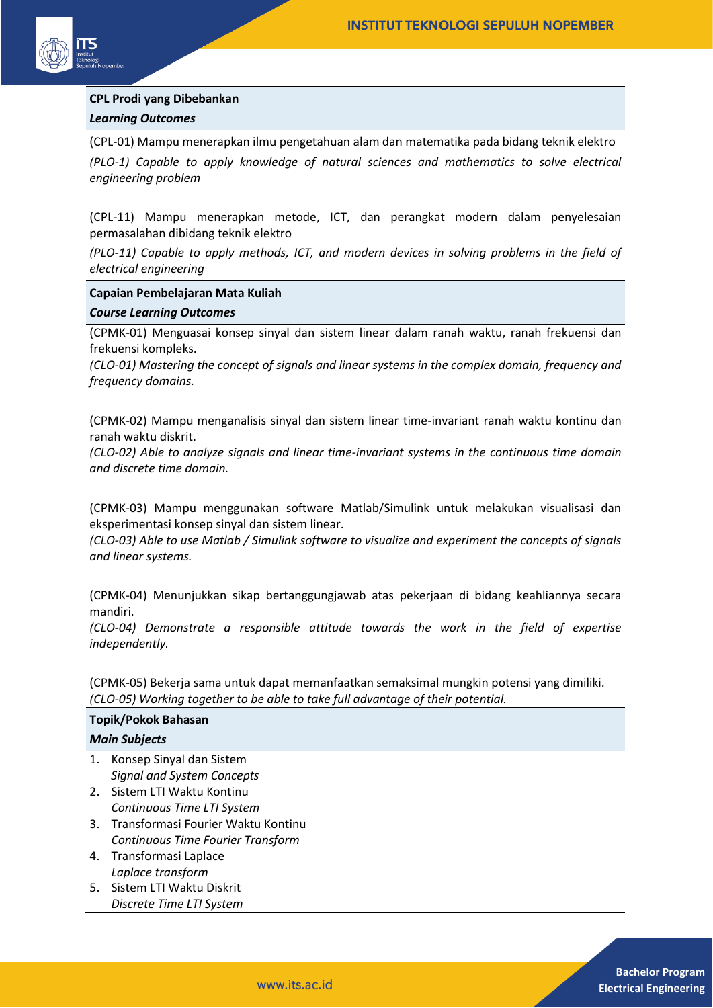

## **CPL Prodi yang Dibebankan** *Learning Outcomes*

(CPL-01) Mampu menerapkan ilmu pengetahuan alam dan matematika pada bidang teknik elektro *(PLO-1) Capable to apply knowledge of natural sciences and mathematics to solve electrical engineering problem* 

(CPL-11) Mampu menerapkan metode, ICT, dan perangkat modern dalam penyelesaian permasalahan dibidang teknik elektro

*(PLO-11) Capable to apply methods, ICT, and modern devices in solving problems in the field of electrical engineering*

#### **Capaian Pembelajaran Mata Kuliah**

#### *Course Learning Outcomes*

(CPMK-01) Menguasai konsep sinyal dan sistem linear dalam ranah waktu, ranah frekuensi dan frekuensi kompleks.

*(CLO-01) Mastering the concept of signals and linear systems in the complex domain, frequency and frequency domains.*

(CPMK-02) Mampu menganalisis sinyal dan sistem linear time-invariant ranah waktu kontinu dan ranah waktu diskrit.

*(CLO-02) Able to analyze signals and linear time-invariant systems in the continuous time domain and discrete time domain.*

(CPMK-03) Mampu menggunakan software Matlab/Simulink untuk melakukan visualisasi dan eksperimentasi konsep sinyal dan sistem linear.

*(CLO-03) Able to use Matlab / Simulink software to visualize and experiment the concepts of signals and linear systems.*

(CPMK-04) Menunjukkan sikap bertanggungjawab atas pekerjaan di bidang keahliannya secara mandiri.

*(CLO-04) Demonstrate a responsible attitude towards the work in the field of expertise independently.*

(CPMK-05) Bekerja sama untuk dapat memanfaatkan semaksimal mungkin potensi yang dimiliki. *(CLO-05) Working together to be able to take full advantage of their potential.*

# **Topik/Pokok Bahasan**

#### *Main Subjects*

- 1. Konsep Sinyal dan Sistem *Signal and System Concepts*
- 2. Sistem LTI Waktu Kontinu *Continuous Time LTI System*
- 3. Transformasi Fourier Waktu Kontinu *Continuous Time Fourier Transform*
- 4. Transformasi Laplace *Laplace transform*
- 5. Sistem LTI Waktu Diskrit *Discrete Time LTI System*